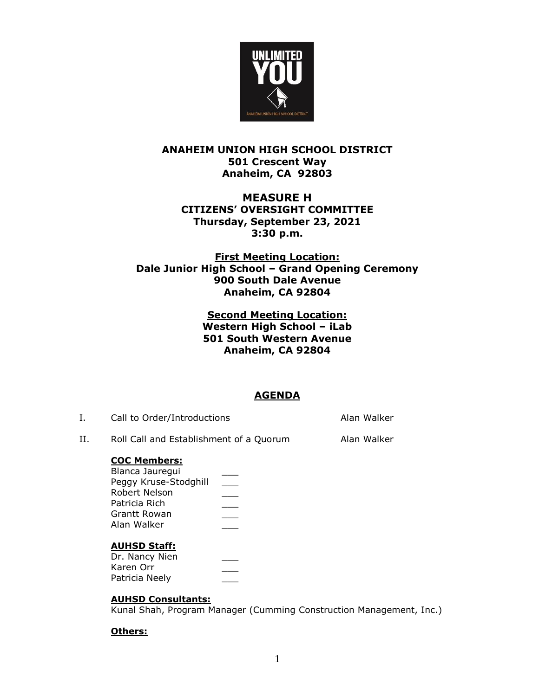

### **ANAHEIM UNION HIGH SCHOOL DISTRICT 501 Crescent Way Anaheim, CA 92803**

### **MEASURE H CITIZENS' OVERSIGHT COMMITTEE Thursday, September 23, 2021 3:30 p.m.**

### **First Meeting Location: Dale Junior High School – Grand Opening Ceremony 900 South Dale Avenue Anaheim, CA 92804**

### **Second Meeting Location: Western High School – iLab 501 South Western Avenue Anaheim, CA 92804**

# **AGENDA**

| Ι. | Call to Order/Introductions                                                                                       |  | Alan Walker |
|----|-------------------------------------------------------------------------------------------------------------------|--|-------------|
| H. | Roll Call and Establishment of a Quorum                                                                           |  | Alan Walker |
|    | <b>COC Members:</b><br>Blanca Jauregui<br>Peggy Kruse-Stodghill<br>Robert Nelson<br>Patricia Rich<br>Grantt Rowan |  |             |

## **AUHSD Staff:**

Alan Walker

| Dr. Nancy Nien |  |
|----------------|--|
| Karen Orr      |  |
| Patricia Neely |  |

## **AUHSD Consultants:**

Kunal Shah, Program Manager (Cumming Construction Management, Inc.)

## **Others:**